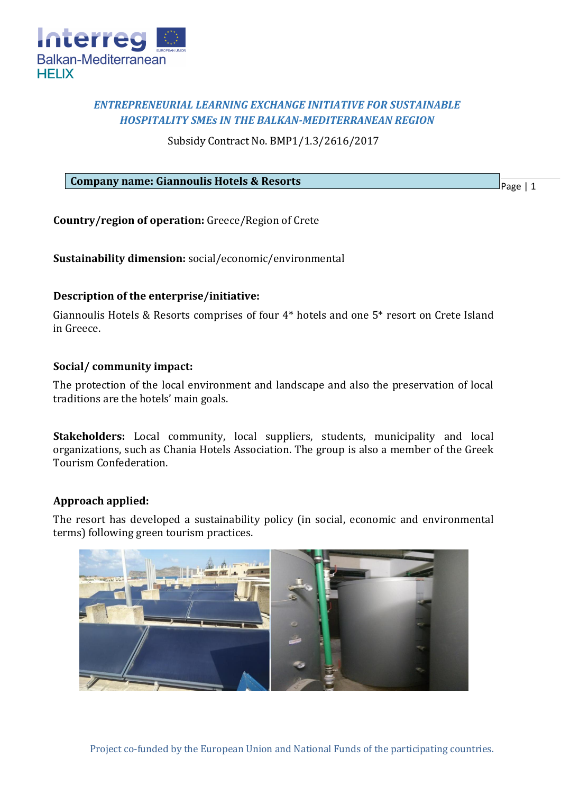

# *ENTREPRENEURIAL LEARNING EXCHANGE INITIATIVE FOR SUSTAINABLE HOSPITALITY SMEs IN THE BALKAN-MEDITERRANEAN REGION*

Subsidy Contract No. BMP1/1.3/2616/2017

### **Company name: Giannoulis Hotels & Resorts**

Page | 1

**Country/region of operation:** Greece/Region of Crete

**Sustainability dimension:** social/economic/environmental

# **Description of the enterprise/initiative:**

Giannoulis Hotels & Resorts comprises of four 4\* hotels and one 5\* resort on Crete Island in Greece.

# **Social/ community impact:**

The protection of the local environment and landscape and also the preservation of local traditions are the hotels' main goals.

**Stakeholders:** Local community, local suppliers, students, municipality and local organizations, such as Chania Hotels Association. The group is also a member of the Greek Tourism Confederation.

# **Approach applied:**

The resort has developed a sustainability policy (in social, economic and environmental terms) following green tourism practices.

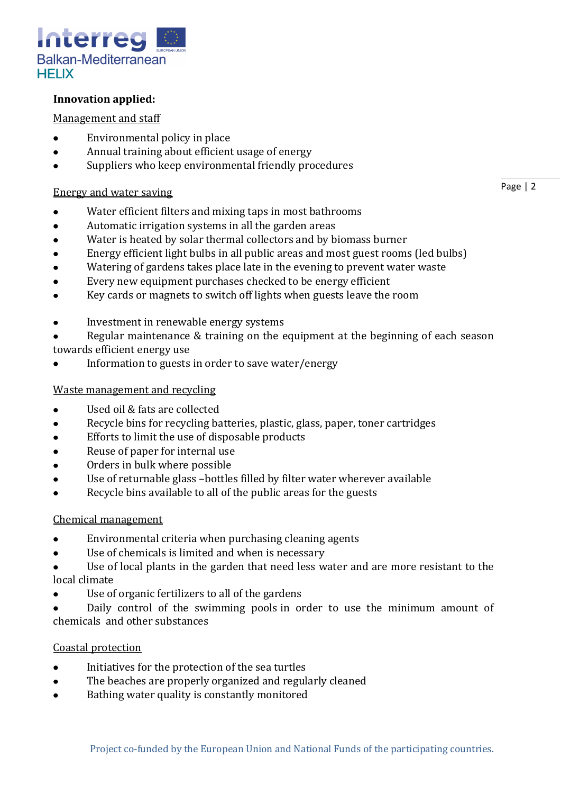

# **Innovation applied:**

### Management and staff

- Environmental policy in place  $\bullet$
- Annual training about efficient usage of energy  $\bullet$
- Suppliers who keep environmental friendly procedures  $\bullet$

### Energy and water saving

- $\bullet$ Water efficient filters and mixing taps in most bathrooms
- $\bullet$ Automatic irrigation systems in all the garden areas
- Water is heated by solar thermal collectors and by biomass burner  $\bullet$
- Energy efficient light bulbs in all public areas and most guest rooms (led bulbs)
- Watering of gardens takes place late in the evening to prevent water waste
- Every new equipment purchases checked to be energy efficient  $\bullet$
- Key cards or magnets to switch off lights when guests leave the room  $\bullet$
- Investment in renewable energy systems
- Regular maintenance & training on the equipment at the beginning of each season towards efficient energy use
- Information to guests in order to save water/energy  $\bullet$

### Waste management and recycling

- Used oil & fats are collected  $\bullet$
- Recycle bins for recycling batteries, plastic, glass, paper, toner cartridges
- Efforts to limit the use of disposable products
- Reuse of paper for internal use  $\bullet$
- Orders in bulk where possible
- Use of returnable glass –bottles filled by filter water wherever available
- Recycle bins available to all of the public areas for the guests

# Chemical management

- Environmental criteria when purchasing cleaning agents  $\bullet$
- Use of chemicals is limited and when is necessary  $\bullet$
- Use of local plants in the garden that need less water and are more resistant to the local climate
- Use of organic fertilizers to all of the gardens
- Daily control of the swimming pools in order to use the minimum amount of chemicals and other substances

# Coastal protection

- $\bullet$ Initiatives for the protection of the sea turtles
- The beaches are properly organized and regularly cleaned
- Bathing water quality is constantly monitored

Page | 2